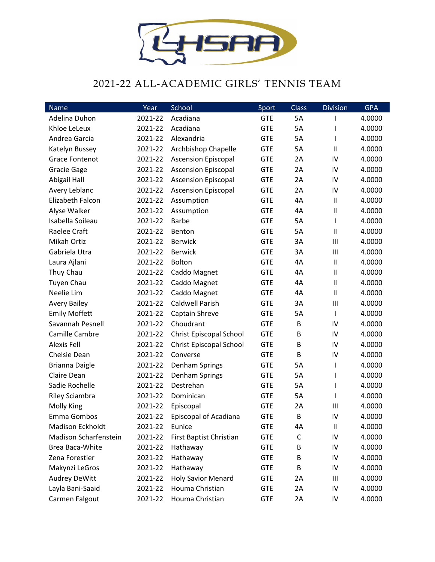

## 2021-22 ALL-ACADEMIC GIRLS' TENNIS TEAM

| Name                  | Year    | School                     | Sport      | <b>Class</b> | <b>Division</b> | <b>GPA</b> |
|-----------------------|---------|----------------------------|------------|--------------|-----------------|------------|
| Adelina Duhon         | 2021-22 | Acadiana                   | <b>GTE</b> | 5A           | ı               | 4.0000     |
| Khloe LeLeux          | 2021-22 | Acadiana                   | <b>GTE</b> | 5A           | ı               | 4.0000     |
| Andrea Garcia         | 2021-22 | Alexandria                 | <b>GTE</b> | 5A           | T               | 4.0000     |
| Katelyn Bussey        | 2021-22 | Archbishop Chapelle        | <b>GTE</b> | 5A           | Ш               | 4.0000     |
| <b>Grace Fontenot</b> | 2021-22 | <b>Ascension Episcopal</b> | <b>GTE</b> | 2A           | IV              | 4.0000     |
| <b>Gracie Gage</b>    | 2021-22 | <b>Ascension Episcopal</b> | <b>GTE</b> | 2A           | IV              | 4.0000     |
| <b>Abigail Hall</b>   | 2021-22 | <b>Ascension Episcopal</b> | <b>GTE</b> | 2A           | IV              | 4.0000     |
| Avery Leblanc         | 2021-22 | <b>Ascension Episcopal</b> | <b>GTE</b> | 2A           | IV              | 4.0000     |
| Elizabeth Falcon      | 2021-22 | Assumption                 | <b>GTE</b> | 4A           | $\mathbf{I}$    | 4.0000     |
| Alyse Walker          | 2021-22 | Assumption                 | <b>GTE</b> | 4A           | Ш               | 4.0000     |
| Isabella Soileau      | 2021-22 | <b>Barbe</b>               | <b>GTE</b> | 5A           | T               | 4.0000     |
| Raelee Craft          | 2021-22 | Benton                     | <b>GTE</b> | 5A           | Ш               | 4.0000     |
| Mikah Ortiz           | 2021-22 | <b>Berwick</b>             | <b>GTE</b> | 3A           | III             | 4.0000     |
| Gabriela Utra         | 2021-22 | <b>Berwick</b>             | <b>GTE</b> | 3A           | Ш               | 4.0000     |
| Laura Ajlani          | 2021-22 | Bolton                     | <b>GTE</b> | 4A           | $\mathbf{I}$    | 4.0000     |
| Thuy Chau             | 2021-22 | Caddo Magnet               | <b>GTE</b> | 4A           | $\mathsf{II}$   | 4.0000     |
| <b>Tuyen Chau</b>     | 2021-22 | Caddo Magnet               | <b>GTE</b> | 4A           | Ш               | 4.0000     |
| Neelie Lim            | 2021-22 | Caddo Magnet               | <b>GTE</b> | 4A           | $\mathbf{I}$    | 4.0000     |
| <b>Avery Bailey</b>   | 2021-22 | <b>Caldwell Parish</b>     | <b>GTE</b> | 3A           | $\mathbf{III}$  | 4.0000     |
| <b>Emily Moffett</b>  | 2021-22 | Captain Shreve             | <b>GTE</b> | 5A           | T               | 4.0000     |
| Savannah Pesnell      | 2021-22 | Choudrant                  | <b>GTE</b> | B            | IV              | 4.0000     |
| Camille Cambre        | 2021-22 | Christ Episcopal School    | <b>GTE</b> | B            | IV              | 4.0000     |
| <b>Alexis Fell</b>    | 2021-22 | Christ Episcopal School    | <b>GTE</b> | B            | IV              | 4.0000     |
| Chelsie Dean          | 2021-22 | Converse                   | <b>GTE</b> | B            | IV              | 4.0000     |
| <b>Brianna Daigle</b> | 2021-22 | Denham Springs             | <b>GTE</b> | 5A           | $\mathsf{I}$    | 4.0000     |
| Claire Dean           | 2021-22 | Denham Springs             | <b>GTE</b> | 5A           | I               | 4.0000     |
| Sadie Rochelle        | 2021-22 | Destrehan                  | <b>GTE</b> | 5A           | T               | 4.0000     |
| <b>Riley Sciambra</b> | 2021-22 | Dominican                  | <b>GTE</b> | 5A           | T               | 4.0000     |
| <b>Molly King</b>     | 2021-22 | Episcopal                  | <b>GTE</b> | 2A           | Ш               | 4.0000     |
| Emma Gombos           | 2021-22 | Episcopal of Acadiana      | <b>GTE</b> | B            | IV              | 4.0000     |
| Madison Eckholdt      | 2021-22 | Eunice                     | <b>GTE</b> | 4A           | Ш               | 4.0000     |
| Madison Scharfenstein | 2021-22 | First Baptist Christian    | <b>GTE</b> | C            | IV              | 4.0000     |
| Brea Baca-White       | 2021-22 | Hathaway                   | <b>GTE</b> | В            | IV              | 4.0000     |
| Zena Forestier        | 2021-22 | Hathaway                   | <b>GTE</b> | В            | IV              | 4.0000     |
| Makynzi LeGros        | 2021-22 | Hathaway                   | <b>GTE</b> | B            | IV              | 4.0000     |
| <b>Audrey DeWitt</b>  | 2021-22 | <b>Holy Savior Menard</b>  | <b>GTE</b> | 2A           | Ш               | 4.0000     |
| Layla Bani-Saaid      | 2021-22 | Houma Christian            | <b>GTE</b> | 2A           | IV              | 4.0000     |
| Carmen Falgout        | 2021-22 | Houma Christian            | <b>GTE</b> | 2A           | IV              | 4.0000     |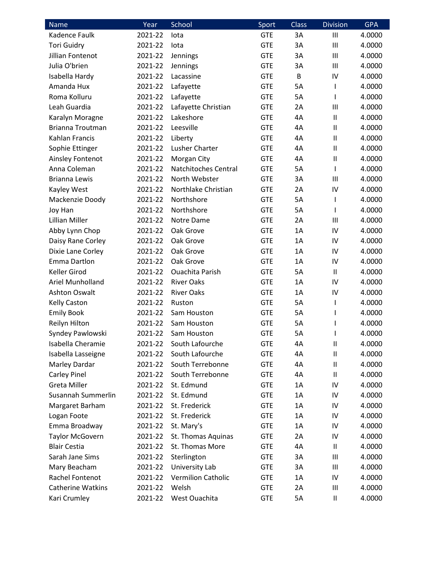| <b>Name</b>              | Year    | School                    | Sport      | <b>Class</b> | <b>Division</b> | <b>GPA</b> |
|--------------------------|---------|---------------------------|------------|--------------|-----------------|------------|
| Kadence Faulk            | 2021-22 | lota                      | <b>GTE</b> | 3A           | Ш               | 4.0000     |
| <b>Tori Guidry</b>       | 2021-22 | lota                      | <b>GTE</b> | 3A           | Ш               | 4.0000     |
| Jillian Fontenot         | 2021-22 | Jennings                  | <b>GTE</b> | 3A           | Ш               | 4.0000     |
| Julia O'brien            | 2021-22 | Jennings                  | <b>GTE</b> | 3A           | Ш               | 4.0000     |
| Isabella Hardy           | 2021-22 | Lacassine                 | <b>GTE</b> | B            | IV              | 4.0000     |
| Amanda Hux               | 2021-22 | Lafayette                 | <b>GTE</b> | 5A           | $\mathsf{I}$    | 4.0000     |
| Roma Kolluru             | 2021-22 | Lafayette                 | <b>GTE</b> | 5A           | T               | 4.0000     |
| Leah Guardia             | 2021-22 | Lafayette Christian       | <b>GTE</b> | 2A           | III             | 4.0000     |
| Karalyn Moragne          | 2021-22 | Lakeshore                 | <b>GTE</b> | 4A           | $\mathsf{I}$    | 4.0000     |
| <b>Brianna Troutman</b>  | 2021-22 | Leesville                 | <b>GTE</b> | 4A           | $\mathsf{I}$    | 4.0000     |
| Kahlan Francis           | 2021-22 | Liberty                   | <b>GTE</b> | 4A           | $\mathbf{I}$    | 4.0000     |
| Sophie Ettinger          | 2021-22 | Lusher Charter            | <b>GTE</b> | 4A           | $\sf II$        | 4.0000     |
| Ainsley Fontenot         | 2021-22 | Morgan City               | <b>GTE</b> | 4A           | $\mathbf{I}$    | 4.0000     |
| Anna Coleman             | 2021-22 | Natchitoches Central      | <b>GTE</b> | <b>5A</b>    | $\mathbf{I}$    | 4.0000     |
| <b>Brianna Lewis</b>     | 2021-22 | North Webster             | <b>GTE</b> | 3A           | III             | 4.0000     |
| Kayley West              | 2021-22 | Northlake Christian       | <b>GTE</b> | 2A           | IV              | 4.0000     |
| Mackenzie Doody          | 2021-22 | Northshore                | <b>GTE</b> | <b>5A</b>    | $\mathbf{I}$    | 4.0000     |
| Joy Han                  | 2021-22 | Northshore                | <b>GTE</b> | 5A           | T               | 4.0000     |
| Lillian Miller           | 2021-22 | Notre Dame                | <b>GTE</b> | 2A           | III             | 4.0000     |
| Abby Lynn Chop           | 2021-22 | Oak Grove                 | <b>GTE</b> | 1A           | IV              | 4.0000     |
| Daisy Rane Corley        | 2021-22 | Oak Grove                 | <b>GTE</b> | 1A           | IV              | 4.0000     |
| Dixie Lane Corley        | 2021-22 | Oak Grove                 | <b>GTE</b> | 1A           | IV              | 4.0000     |
| Emma Dartlon             | 2021-22 | Oak Grove                 | <b>GTE</b> | 1A           | IV              | 4.0000     |
| Keller Girod             | 2021-22 | <b>Ouachita Parish</b>    | <b>GTE</b> | 5A           | $\mathsf{I}$    | 4.0000     |
| Ariel Munholland         | 2021-22 | <b>River Oaks</b>         | <b>GTE</b> | 1A           | IV              | 4.0000     |
| <b>Ashton Oswalt</b>     | 2021-22 | <b>River Oaks</b>         | <b>GTE</b> | 1A           | IV              | 4.0000     |
| <b>Kelly Caston</b>      | 2021-22 | Ruston                    | <b>GTE</b> | 5A           | I               | 4.0000     |
| <b>Emily Book</b>        | 2021-22 | Sam Houston               | <b>GTE</b> | 5A           | I               | 4.0000     |
| Reilyn Hilton            | 2021-22 | Sam Houston               | <b>GTE</b> | <b>5A</b>    | L               | 4.0000     |
| Syndey Pawlowski         | 2021-22 | Sam Houston               | <b>GTE</b> | 5A           | ı               | 4.0000     |
| Isabella Cheramie        | 2021-22 | South Lafourche           | <b>GTE</b> | 4A           | $\mathsf{I}$    | 4.0000     |
| Isabella Lasseigne       | 2021-22 | South Lafourche           | <b>GTE</b> | 4A           | $\mathbf{I}$    | 4.0000     |
| Marley Dardar            | 2021-22 | South Terrebonne          | <b>GTE</b> | 4A           | $\mathsf{I}$    | 4.0000     |
| <b>Carley Pinel</b>      | 2021-22 | South Terrebonne          | <b>GTE</b> | 4A           | $\mathsf{I}$    | 4.0000     |
| <b>Greta Miller</b>      | 2021-22 | St. Edmund                | <b>GTE</b> | 1A           | IV              | 4.0000     |
| Susannah Summerlin       | 2021-22 | St. Edmund                | <b>GTE</b> | 1A           | IV              | 4.0000     |
| Margaret Barham          | 2021-22 | St. Frederick             | <b>GTE</b> | 1A           | IV              | 4.0000     |
| Logan Foote              | 2021-22 | St. Frederick             | <b>GTE</b> | 1A           | IV              | 4.0000     |
| Emma Broadway            | 2021-22 | St. Mary's                | <b>GTE</b> | 1A           | IV              | 4.0000     |
| <b>Taylor McGovern</b>   | 2021-22 | St. Thomas Aquinas        | <b>GTE</b> | 2A           | IV              | 4.0000     |
| <b>Blair Cestia</b>      | 2021-22 | St. Thomas More           | <b>GTE</b> | 4A           | $\mathsf{I}$    | 4.0000     |
| Sarah Jane Sims          | 2021-22 | Sterlington               | <b>GTE</b> | 3A           | Ш               | 4.0000     |
| Mary Beacham             | 2021-22 | University Lab            | <b>GTE</b> | 3A           | Ш               | 4.0000     |
| Rachel Fontenot          | 2021-22 | <b>Vermilion Catholic</b> | <b>GTE</b> | 1A           | IV              | 4.0000     |
| <b>Catherine Watkins</b> | 2021-22 | Welsh                     | <b>GTE</b> | 2A           | Ш               | 4.0000     |
| Kari Crumley             | 2021-22 | West Ouachita             | <b>GTE</b> | 5A           | $\mathbf{II}$   | 4.0000     |